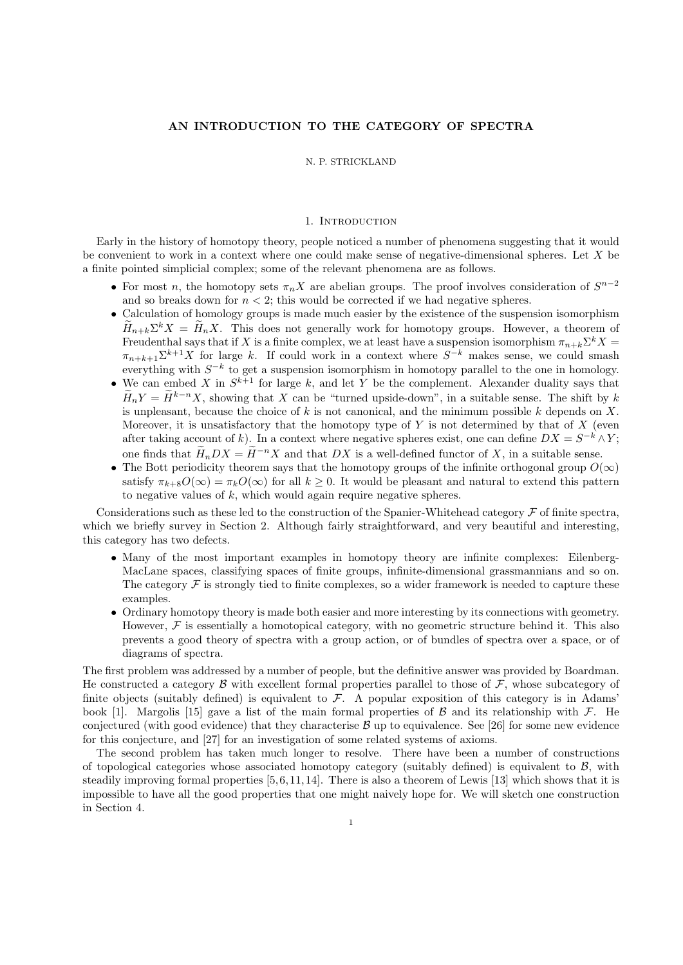# AN INTRODUCTION TO THE CATEGORY OF SPECTRA

### N. P. STRICKLAND

### 1. INTRODUCTION

Early in the history of homotopy theory, people noticed a number of phenomena suggesting that it would be convenient to work in a context where one could make sense of negative-dimensional spheres. Let X be a finite pointed simplicial complex; some of the relevant phenomena are as follows.

- For most n, the homotopy sets  $\pi_n X$  are abelian groups. The proof involves consideration of  $S^{n-2}$ and so breaks down for  $n < 2$ ; this would be corrected if we had negative spheres.
- Calculation of homology groups is made much easier by the existence of the suspension isomorphism  $H_{n+k}\Sigma^k X = H_n X$ . This does not generally work for homotopy groups. However, a theorem of Freudenthal says that if X is a finite complex, we at least have a suspension isomorphism  $\pi_{n+k} \Sigma^k X =$  $\pi_{n+k+1} \Sigma^{k+1} X$  for large k. If could work in a context where  $S^{-k}$  makes sense, we could smash everything with  $S^{-k}$  to get a suspension isomorphism in homotopy parallel to the one in homology.
- We can embed X in  $S^{k+1}$  for large k, and let Y be the complement. Alexander duality says that  $\widetilde{H}_nY = \widetilde{H}^{k-n}X$ , showing that X can be "turned upside-down", in a suitable sense. The shift by k is unpleasant, because the choice of k is not canonical, and the minimum possible k depends on X. Moreover, it is unsatisfactory that the homotopy type of  $Y$  is not determined by that of  $X$  (even after taking account of k). In a context where negative spheres exist, one can define  $DX = S^{-k} \wedge Y;$ one finds that  $\widetilde{H}_nDX = \widetilde{H}^{-n}X$  and that DX is a well-defined functor of X, in a suitable sense.
- The Bott periodicity theorem says that the homotopy groups of the infinite orthogonal group  $O(\infty)$ satisfy  $\pi_{k+8}O(\infty) = \pi_k O(\infty)$  for all  $k \geq 0$ . It would be pleasant and natural to extend this pattern to negative values of  $k$ , which would again require negative spheres.

Considerations such as these led to the construction of the Spanier-Whitehead category  $\mathcal F$  of finite spectra, which we briefly survey in Section 2. Although fairly straightforward, and very beautiful and interesting, this category has two defects.

- Many of the most important examples in homotopy theory are infinite complexes: Eilenberg-MacLane spaces, classifying spaces of finite groups, infinite-dimensional grassmannians and so on. The category  $\mathcal F$  is strongly tied to finite complexes, so a wider framework is needed to capture these examples.
- Ordinary homotopy theory is made both easier and more interesting by its connections with geometry. However,  $\mathcal F$  is essentially a homotopical category, with no geometric structure behind it. This also prevents a good theory of spectra with a group action, or of bundles of spectra over a space, or of diagrams of spectra.

The first problem was addressed by a number of people, but the definitive answer was provided by Boardman. He constructed a category  $\beta$  with excellent formal properties parallel to those of  $\mathcal F$ , whose subcategory of finite objects (suitably defined) is equivalent to  $\mathcal{F}$ . A popular exposition of this category is in Adams' book [1]. Margolis [15] gave a list of the main formal properties of  $\beta$  and its relationship with  $\mathcal{F}$ . He conjectured (with good evidence) that they characterise  $\mathcal B$  up to equivalence. See [26] for some new evidence for this conjecture, and [27] for an investigation of some related systems of axioms.

The second problem has taken much longer to resolve. There have been a number of constructions of topological categories whose associated homotopy category (suitably defined) is equivalent to  $\mathcal{B}$ , with steadily improving formal properties  $[5, 6, 11, 14]$ . There is also a theorem of Lewis  $[13]$  which shows that it is impossible to have all the good properties that one might naively hope for. We will sketch one construction in Section 4.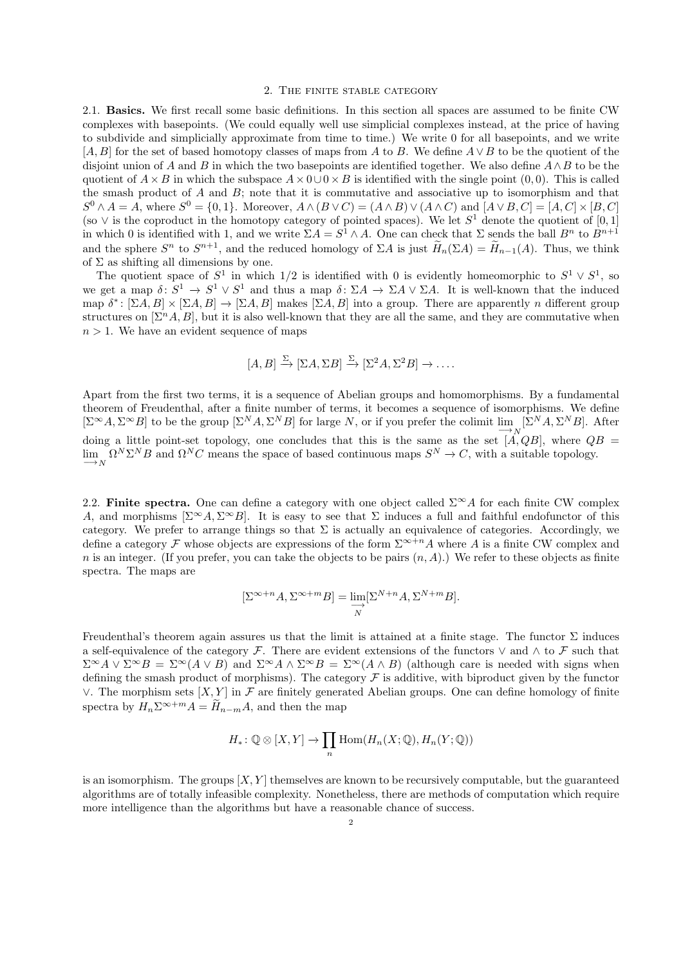#### 2. The finite stable category

2.1. Basics. We first recall some basic definitions. In this section all spaces are assumed to be finite CW complexes with basepoints. (We could equally well use simplicial complexes instead, at the price of having to subdivide and simplicially approximate from time to time.) We write 0 for all basepoints, and we write  $[A, B]$  for the set of based homotopy classes of maps from A to B. We define  $A \vee B$  to be the quotient of the disjoint union of A and B in which the two basepoints are identified together. We also define  $A \wedge B$  to be the quotient of  $A \times B$  in which the subspace  $A \times 0 \cup 0 \times B$  is identified with the single point (0,0). This is called the smash product of  $A$  and  $B$ ; note that it is commutative and associative up to isomorphism and that  $S^0 \wedge A = A$ , where  $S^0 = \{0, 1\}$ . Moreover,  $A \wedge (B \vee C) = (A \wedge B) \vee (A \wedge C)$  and  $[A \vee B, C] = [A, C] \times [B, C]$ (so  $\vee$  is the coproduct in the homotopy category of pointed spaces). We let  $S^1$  denote the quotient of [0, 1] in which 0 is identified with 1, and we write  $\Sigma A = S^1 \wedge A$ . One can check that  $\Sigma$  sends the ball  $B^n$  to  $B^{n+1}$ and the sphere  $S^n$  to  $S^{n+1}$ , and the reduced homology of  $\Sigma A$  is just  $\widetilde{H}_n(\Sigma A) = \widetilde{H}_{n-1}(A)$ . Thus, we think of  $\Sigma$  as shifting all dimensions by one.

The quotient space of  $S^1$  in which 1/2 is identified with 0 is evidently homeomorphic to  $S^1 \vee S^1$ , so we get a map  $\delta: S^1 \to S^1 \vee S^1$  and thus a map  $\delta: \Sigma A \to \Sigma A \vee \Sigma A$ . It is well-known that the induced map  $\delta^*$ :  $[\Sigma A, B] \times [\Sigma A, B] \rightarrow [\Sigma A, B]$  makes  $[\Sigma A, B]$  into a group. There are apparently n different group structures on  $[\Sigma^n A, B]$ , but it is also well-known that they are all the same, and they are commutative when  $n > 1$ . We have an evident sequence of maps

$$
[A, B] \xrightarrow{\Sigma} [\Sigma A, \Sigma B] \xrightarrow{\Sigma} [\Sigma^2 A, \Sigma^2 B] \to \dots
$$

Apart from the first two terms, it is a sequence of Abelian groups and homomorphisms. By a fundamental theorem of Freudenthal, after a finite number of terms, it becomes a sequence of isomorphisms. We define  $[\Sigma^{\infty} A, \Sigma^{\infty} B]$  to be the group  $[\Sigma^N A, \Sigma^N B]$  for large N, or if you prefer the colimit  $\lim_{N \to \infty} [\Sigma^N A, \Sigma^N B]$ . After doing a little point-set topology, one concludes that this is the same as the set  $\overrightarrow{[A,QB]}$ , where  $\overrightarrow{QB}$  =  $\lim_{N \to \infty} \Omega^N \Sigma^N B$  and  $\Omega^N C$  means the space of based continuous maps  $S^N \to C$ , with a suitable topology.

2.2. Finite spectra. One can define a category with one object called  $\Sigma^{\infty}A$  for each finite CW complex A, and morphisms  $[\Sigma^{\infty}A, \Sigma^{\infty}B]$ . It is easy to see that  $\Sigma$  induces a full and faithful endofunctor of this category. We prefer to arrange things so that  $\Sigma$  is actually an equivalence of categories. Accordingly, we define a category F whose objects are expressions of the form  $\Sigma^{\infty+n}A$  where A is a finite CW complex and n is an integer. (If you prefer, you can take the objects to be pairs  $(n, A)$ .) We refer to these objects as finite spectra. The maps are

$$
[\Sigma^{\infty+n}A, \Sigma^{\infty+m}B] = \varinjlim_N [\Sigma^{N+n}A, \Sigma^{N+m}B].
$$

Freudenthal's theorem again assures us that the limit is attained at a finite stage. The functor  $\Sigma$  induces a self-equivalence of the category F. There are evident extensions of the functors  $\vee$  and  $\wedge$  to F such that  $\Sigma^{\infty}A \vee \Sigma^{\infty}B = \Sigma^{\infty}(A \vee B)$  and  $\Sigma^{\infty}A \wedge \Sigma^{\infty}B = \Sigma^{\infty}(A \wedge B)$  (although care is needed with signs when defining the smash product of morphisms). The category  $\mathcal F$  is additive, with biproduct given by the functor ∨. The morphism sets  $[X, Y]$  in  $\mathcal F$  are finitely generated Abelian groups. One can define homology of finite spectra by  $H_n \Sigma^{\infty+m} A = \widetilde{H}_{n-m} A$ , and then the map

$$
H_*\colon \mathbb{Q}\otimes [X,Y]\to \prod_n \mathrm{Hom}(H_n(X;\mathbb{Q}),H_n(Y;\mathbb{Q}))
$$

is an isomorphism. The groups  $[X, Y]$  themselves are known to be recursively computable, but the guaranteed algorithms are of totally infeasible complexity. Nonetheless, there are methods of computation which require more intelligence than the algorithms but have a reasonable chance of success.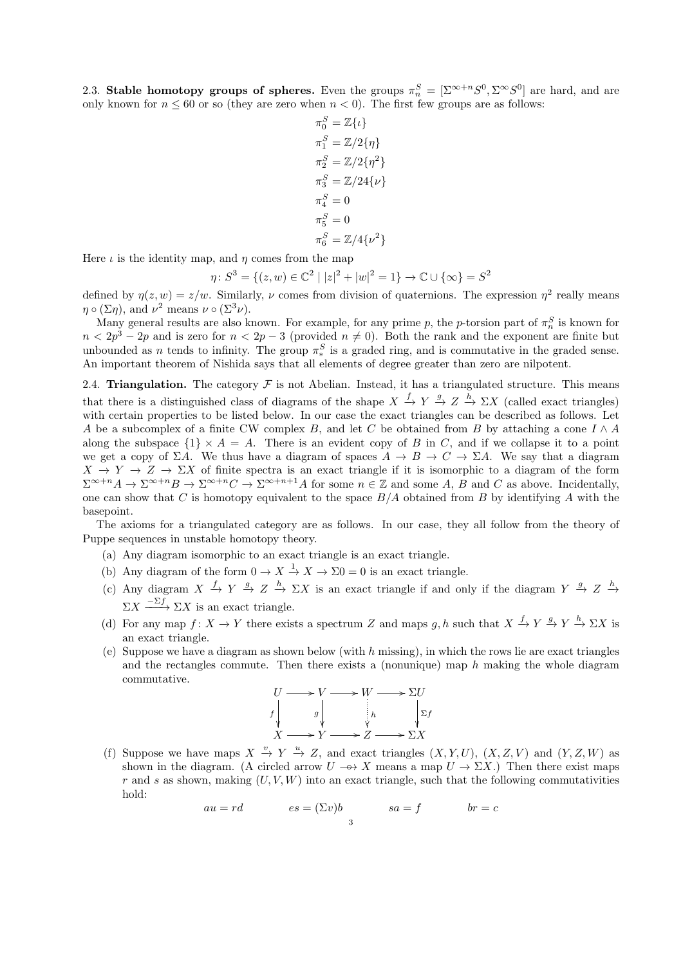2.3. Stable homotopy groups of spheres. Even the groups  $\pi_n^S = [\Sigma^{\infty+n} S^0, \Sigma^{\infty} S^0]$  are hard, and are only known for  $n \leq 60$  or so (they are zero when  $n < 0$ ). The first few groups are as follows:

$$
\pi_0^S = \mathbb{Z}\{\iota\}
$$
  
\n
$$
\pi_1^S = \mathbb{Z}/2\{\eta\}
$$
  
\n
$$
\pi_2^S = \mathbb{Z}/2\{\eta^2\}
$$
  
\n
$$
\pi_3^S = \mathbb{Z}/24\{\nu\}
$$
  
\n
$$
\pi_4^S = 0
$$
  
\n
$$
\pi_5^S = 0
$$
  
\n
$$
\pi_6^S = \mathbb{Z}/4\{\nu^2\}
$$

Here  $\iota$  is the identity map, and  $\eta$  comes from the map  $\eta$ 

: 
$$
S^3 = \{(z, w) \in \mathbb{C}^2 \mid |z|^2 + |w|^2 = 1\} \to \mathbb{C} \cup \{\infty\} = S^2
$$

defined by  $\eta(z, w) = z/w$ . Similarly,  $\nu$  comes from division of quaternions. The expression  $\eta^2$  really means  $\eta \circ (\Sigma \eta)$ , and  $\nu^2$  means  $\nu \circ (\Sigma^3 \nu)$ .

Many general results are also known. For example, for any prime p, the p-torsion part of  $\pi_n^S$  is known for  $n < 2p<sup>3</sup> - 2p$  and is zero for  $n < 2p - 3$  (provided  $n \neq 0$ ). Both the rank and the exponent are finite but unbounded as *n* tends to infinity. The group  $\pi_*^S$  is a graded ring, and is commutative in the graded sense. An important theorem of Nishida says that all elements of degree greater than zero are nilpotent.

2.4. Triangulation. The category  $\mathcal F$  is not Abelian. Instead, it has a triangulated structure. This means that there is a distinguished class of diagrams of the shape  $X \stackrel{f}{\to} Y \stackrel{g}{\to} Z \stackrel{h}{\to} \Sigma X$  (called exact triangles) with certain properties to be listed below. In our case the exact triangles can be described as follows. Let A be a subcomplex of a finite CW complex B, and let C be obtained from B by attaching a cone  $I \wedge A$ along the subspace  $\{1\} \times A = A$ . There is an evident copy of B in C, and if we collapse it to a point we get a copy of  $\Sigma A$ . We thus have a diagram of spaces  $A \to B \to C \to \Sigma A$ . We say that a diagram  $X \to Y \to Z \to \Sigma X$  of finite spectra is an exact triangle if it is isomorphic to a diagram of the form  $\Sigma^{\infty+n}A \to \Sigma^{\infty+n}B \to \Sigma^{\infty+n}C \to \Sigma^{\infty+n+1}A$  for some  $n \in \mathbb{Z}$  and some A, B and C as above. Incidentally, one can show that C is homotopy equivalent to the space  $B/A$  obtained from B by identifying A with the basepoint.

The axioms for a triangulated category are as follows. In our case, they all follow from the theory of Puppe sequences in unstable homotopy theory.

- (a) Any diagram isomorphic to an exact triangle is an exact triangle.
- (b) Any diagram of the form  $0 \to X \stackrel{1}{\to} X \to \Sigma 0 = 0$  is an exact triangle.
- (c) Any diagram  $X \stackrel{f}{\to} Y \stackrel{g}{\to} Z \stackrel{h}{\to} \Sigma X$  is an exact triangle if and only if the diagram  $Y \stackrel{g}{\to} Z \stackrel{h}{\to} Z$  $\Sigma X \longrightarrow \Sigma X$  is an exact triangle.
- (d) For any map  $f: X \to Y$  there exists a spectrum Z and maps g, h such that  $X \xrightarrow{f} Y \xrightarrow{g} Y \xrightarrow{h} \Sigma X$  is an exact triangle.
- (e) Suppose we have a diagram as shown below (with  $h$  missing), in which the rows lie are exact triangles and the rectangles commute. Then there exists a (nonunique) map  $h$  making the whole diagram commutative.

$$
U \longrightarrow V \longrightarrow W \longrightarrow \Sigma U
$$
  
\n
$$
f \downarrow g \downarrow h \downarrow \Sigma f
$$
  
\n
$$
X \longrightarrow Y \longrightarrow Z \longrightarrow \Sigma X
$$

(f) Suppose we have maps  $X \stackrel{v}{\to} Y \stackrel{u}{\to} Z$ , and exact triangles  $(X, Y, U)$ ,  $(X, Z, V)$  and  $(Y, Z, W)$  as shown in the diagram. (A circled arrow  $U \rightarrow \rightarrow X$  means a map  $U \rightarrow \Sigma X$ .) Then there exist maps r and s as shown, making  $(U, V, W)$  into an exact triangle, such that the following commutativities hold:

$$
au = rd \qquad \qquad es = (\Sigma v)b \qquad \qquad sa = f \qquad \qquad br = c
$$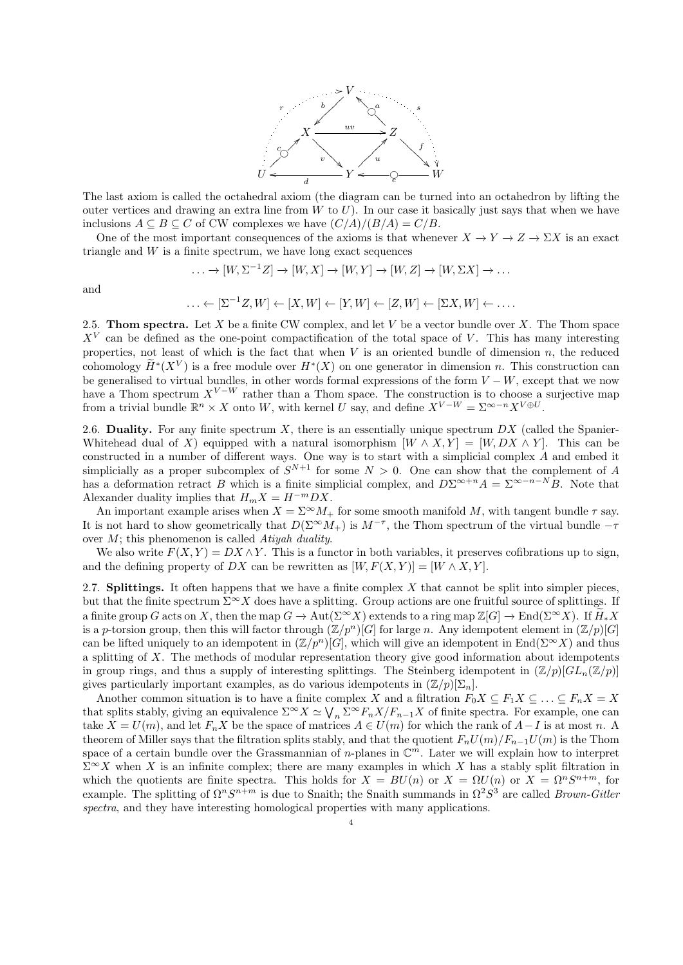

The last axiom is called the octahedral axiom (the diagram can be turned into an octahedron by lifting the outer vertices and drawing an extra line from  $W$  to  $U$ ). In our case it basically just says that when we have inclusions  $A \subseteq B \subseteq C$  of CW complexes we have  $(C/A)/(B/A) = C/B$ .

One of the most important consequences of the axioms is that whenever  $X \to Y \to Z \to \Sigma X$  is an exact triangle and  $W$  is a finite spectrum, we have long exact sequences

$$
\ldots \to [W, \Sigma^{-1}Z] \to [W, X] \to [W, Y] \to [W, Z] \to [W, \Sigma X] \to \ldots
$$

and

$$
\ldots \leftarrow [\Sigma^{-1}Z, W] \leftarrow [X, W] \leftarrow [Y, W] \leftarrow [Z, W] \leftarrow [\Sigma X, W] \leftarrow \ldots
$$

2.5. **Thom spectra.** Let X be a finite CW complex, and let V be a vector bundle over X. The Thom space  $X^V$  can be defined as the one-point compactification of the total space of V. This has many interesting properties, not least of which is the fact that when  $V$  is an oriented bundle of dimension  $n$ , the reduced cohomology  $\widetilde{H}^*(X^V)$  is a free module over  $H^*(X)$  on one generator in dimension n. This construction can be generalised to virtual bundles, in other words formal expressions of the form  $V - W$ , except that we now have a Thom spectrum  $X^{V-W}$  rather than a Thom space. The construction is to choose a surjective map from a trivial bundle  $\mathbb{R}^n \times X$  onto W, with kernel U say, and define  $X^{V-W} = \Sigma^{\infty-n} X^{V \oplus U}$ .

2.6. Duality. For any finite spectrum  $X$ , there is an essentially unique spectrum  $DX$  (called the Spanier-Whitehead dual of X) equipped with a natural isomorphism  $[W \wedge X, Y] = [W, DX \wedge Y]$ . This can be constructed in a number of different ways. One way is to start with a simplicial complex A and embed it simplicially as a proper subcomplex of  $S^{N+1}$  for some  $N > 0$ . One can show that the complement of A has a deformation retract B which is a finite simplicial complex, and  $D\Sigma^{\infty+n}A = \Sigma^{\infty-n}B$ . Note that Alexander duality implies that  $H_m X = H^{-m}DX$ .

An important example arises when  $X = \Sigma^{\infty} M_+$  for some smooth manifold M, with tangent bundle  $\tau$  say. It is not hard to show geometrically that  $D(\Sigma^{\infty}M_+)$  is  $M^{-\tau}$ , the Thom spectrum of the virtual bundle  $-\tau$ over  $M$ ; this phenomenon is called Atiyah duality.

We also write  $F(X, Y) = DX \wedge Y$ . This is a functor in both variables, it preserves cofibrations up to sign, and the defining property of DX can be rewritten as  $[W, F(X, Y)] = [W \wedge X, Y].$ 

2.7. **Splittings.** It often happens that we have a finite complex  $X$  that cannot be split into simpler pieces, but that the finite spectrum  $\Sigma^{\infty}X$  does have a splitting. Group actions are one fruitful source of splittings. If a finite group G acts on X, then the map  $G \to \text{Aut}(\Sigma^{\infty}X)$  extends to a ring map  $\mathbb{Z}[G] \to \text{End}(\Sigma^{\infty}X)$ . If  $\widetilde{H}_*X$ is a p-torsion group, then this will factor through  $(\mathbb{Z}/p^n)[G]$  for large n. Any idempotent element in  $(\mathbb{Z}/p)[G]$ can be lifted uniquely to an idempotent in  $(\mathbb{Z}/p^n)[G]$ , which will give an idempotent in End $(\Sigma^{\infty}X)$  and thus a splitting of X. The methods of modular representation theory give good information about idempotents in group rings, and thus a supply of interesting splittings. The Steinberg idempotent in  $(\mathbb{Z}/p)[GL_n(\mathbb{Z}/p)]$ gives particularly important examples, as do various idempotents in  $(\mathbb{Z}/p)[\Sigma_n]$ .

Another common situation is to have a finite complex X and a filtration  $F_0X \subseteq F_1X \subseteq \ldots \subseteq F_nX = X$ that splits stably, giving an equivalence  $\Sigma^{\infty} X \simeq \bigvee_n \Sigma^{\infty} F_n X/F_{n-1} X$  of finite spectra. For example, one can take  $X = U(m)$ , and let  $F_n X$  be the space of matrices  $A \in U(m)$  for which the rank of  $A-I$  is at most n. A theorem of Miller says that the filtration splits stably, and that the quotient  $F_nU(m)/F_{n-1}U(m)$  is the Thom space of a certain bundle over the Grassmannian of *n*-planes in  $\mathbb{C}^m$ . Later we will explain how to interpret  $\Sigma^{\infty}X$  when X is an infinite complex; there are many examples in which X has a stably split filtration in which the quotients are finite spectra. This holds for  $X = BU(n)$  or  $X = \Omega U(n)$  or  $X = \Omega^n S^{n+m}$ , for example. The splitting of  $\Omega^n S^{n+m}$  is due to Snaith; the Snaith summands in  $\Omega^2 S^3$  are called Brown-Gitler spectra, and they have interesting homological properties with many applications.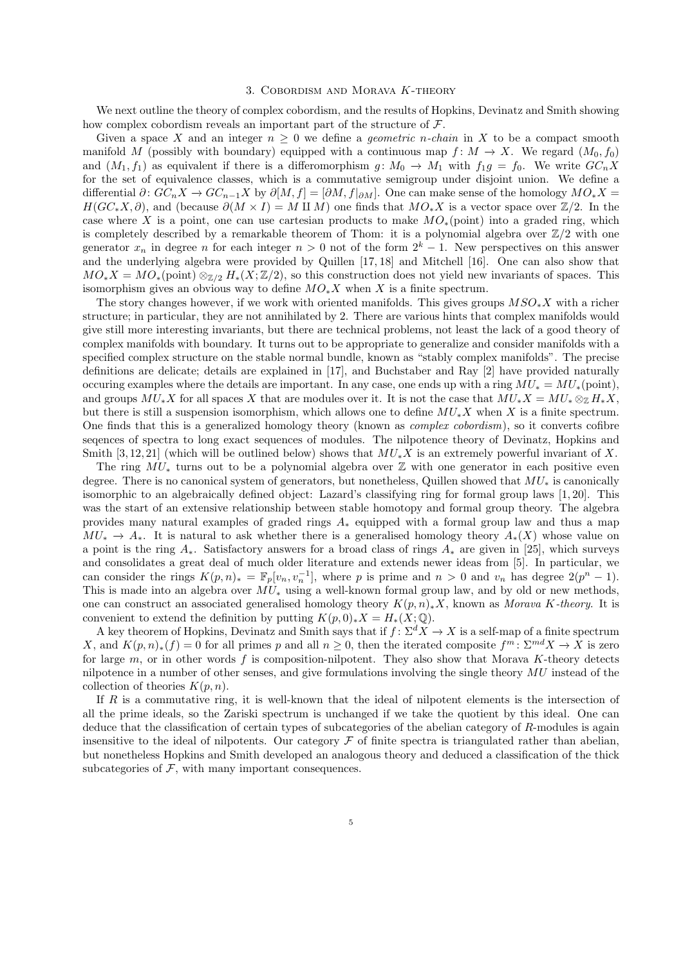#### 3. Cobordism and Morava K-theory

We next outline the theory of complex cobordism, and the results of Hopkins, Devinatz and Smith showing how complex cobordism reveals an important part of the structure of  $\mathcal{F}$ .

Given a space X and an integer  $n \geq 0$  we define a *geometric n-chain* in X to be a compact smooth manifold M (possibly with boundary) equipped with a continuous map  $f: M \to X$ . We regard  $(M_0, f_0)$ and  $(M_1, f_1)$  as equivalent if there is a differomorphism  $g: M_0 \to M_1$  with  $f_1g = f_0$ . We write  $GC_nX$ for the set of equivalence classes, which is a commutative semigroup under disjoint union. We define a differential  $\partial: GC_nX \to GC_{n-1}X$  by  $\partial[M, f] = [\partial M, f]_{\partial M}$ . One can make sense of the homology  $MO_*X =$  $H(GC_*X, \partial)$ , and (because  $\partial(M \times I) = M \amalg M$ ) one finds that  $MO_*X$  is a vector space over  $\mathbb{Z}/2$ . In the case where X is a point, one can use cartesian products to make  $MO_*(\text{point})$  into a graded ring, which is completely described by a remarkable theorem of Thom: it is a polynomial algebra over  $\mathbb{Z}/2$  with one generator  $x_n$  in degree n for each integer  $n > 0$  not of the form  $2^k - 1$ . New perspectives on this answer and the underlying algebra were provided by Quillen [17, 18] and Mitchell [16]. One can also show that  $MO_*X = MO_*(\text{point}) \otimes_{\mathbb{Z}/2} H_*(X;\mathbb{Z}/2)$ , so this construction does not yield new invariants of spaces. This isomorphism gives an obvious way to define  $MO_*X$  when X is a finite spectrum.

The story changes however, if we work with oriented manifolds. This gives groups  $MSO_*X$  with a richer structure; in particular, they are not annihilated by 2. There are various hints that complex manifolds would give still more interesting invariants, but there are technical problems, not least the lack of a good theory of complex manifolds with boundary. It turns out to be appropriate to generalize and consider manifolds with a specified complex structure on the stable normal bundle, known as "stably complex manifolds". The precise definitions are delicate; details are explained in [17], and Buchstaber and Ray [2] have provided naturally occuring examples where the details are important. In any case, one ends up with a ring  $MU_* = MU_*(\text{point})$ , and groups  $MU_*X$  for all spaces X that are modules over it. It is not the case that  $MU_*X = MU_* \otimes_{\mathbb{Z}} H_*X$ . but there is still a suspension isomorphism, which allows one to define  $MU_*X$  when X is a finite spectrum. One finds that this is a generalized homology theory (known as complex cobordism), so it converts cofibre seqences of spectra to long exact sequences of modules. The nilpotence theory of Devinatz, Hopkins and Smith [3, 12, 21] (which will be outlined below) shows that  $MU_*X$  is an extremely powerful invariant of X.

The ring  $MU_*$  turns out to be a polynomial algebra over  $\mathbb Z$  with one generator in each positive even degree. There is no canonical system of generators, but nonetheless, Quillen showed that  $MU_*$  is canonically isomorphic to an algebraically defined object: Lazard's classifying ring for formal group laws [1, 20]. This was the start of an extensive relationship between stable homotopy and formal group theory. The algebra provides many natural examples of graded rings  $A_*$  equipped with a formal group law and thus a map  $MU_* \to A_*$ . It is natural to ask whether there is a generalised homology theory  $A_*(X)$  whose value on a point is the ring  $A_*$ . Satisfactory answers for a broad class of rings  $A_*$  are given in [25], which surveys and consolidates a great deal of much older literature and extends newer ideas from [5]. In particular, we can consider the rings  $K(p,n)_* = \mathbb{F}_p[v_n, v_n^{-1}]$ , where p is prime and  $n > 0$  and  $v_n$  has degree  $2(p^n - 1)$ . This is made into an algebra over  $\dot{MU}_*$  using a well-known formal group law, and by old or new methods, one can construct an associated generalised homology theory  $K(p, n)_*X$ , known as Morava K-theory. It is convenient to extend the definition by putting  $K(p, 0)_*X = H_*(X; \mathbb{Q})$ .

A key theorem of Hopkins, Devinatz and Smith says that if  $f: \Sigma^d X \to X$  is a self-map of a finite spectrum X, and  $K(p,n)_*(f) = 0$  for all primes p and all  $n \geq 0$ , then the iterated composite  $f^m: \Sigma^{md} X \to X$  is zero for large m, or in other words f is composition-nilpotent. They also show that Morava K-theory detects nilpotence in a number of other senses, and give formulations involving the single theory  $MU$  instead of the collection of theories  $K(p, n)$ .

If R is a commutative ring, it is well-known that the ideal of nilpotent elements is the intersection of all the prime ideals, so the Zariski spectrum is unchanged if we take the quotient by this ideal. One can deduce that the classification of certain types of subcategories of the abelian category of R-modules is again insensitive to the ideal of nilpotents. Our category  $\mathcal F$  of finite spectra is triangulated rather than abelian, but nonetheless Hopkins and Smith developed an analogous theory and deduced a classification of the thick subcategories of  $F$ , with many important consequences.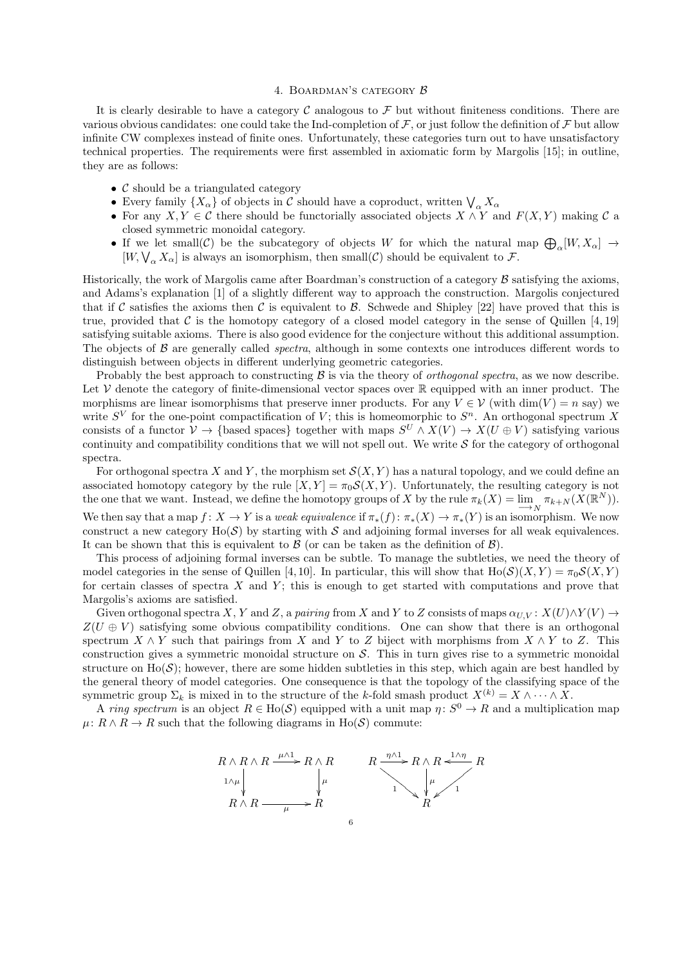### 4. Boardman's category B

It is clearly desirable to have a category  $\mathcal C$  analogous to  $\mathcal F$  but without finiteness conditions. There are various obvious candidates: one could take the Ind-completion of  $\mathcal F$ , or just follow the definition of  $\mathcal F$  but allow infinite CW complexes instead of finite ones. Unfortunately, these categories turn out to have unsatisfactory technical properties. The requirements were first assembled in axiomatic form by Margolis [15]; in outline, they are as follows:

- $\mathcal C$  should be a triangulated category
- Every family  $\{X_{\alpha}\}$  of objects in  $\mathcal C$  should have a coproduct, written  $\bigvee_{\alpha} X_{\alpha}$
- For any  $X, Y \in \mathcal{C}$  there should be functorially associated objects  $X \wedge Y$  and  $F(X, Y)$  making  $\mathcal{C}$  a closed symmetric monoidal category.
- If we let small(C) be the subcategory of objects W for which the natural map  $\bigoplus_{\alpha}[W, X_{\alpha}] \to$  $[W, \bigvee_{\alpha} X_{\alpha}]$  is always an isomorphism, then small(C) should be equivalent to F.

Historically, the work of Margolis came after Boardman's construction of a category  $\beta$  satisfying the axioms, and Adams's explanation [1] of a slightly different way to approach the construction. Margolis conjectured that if C satisfies the axioms then C is equivalent to B. Schwede and Shipley [22] have proved that this is true, provided that C is the homotopy category of a closed model category in the sense of Quillen [4, 19] satisfying suitable axioms. There is also good evidence for the conjecture without this additional assumption. The objects of  $\beta$  are generally called *spectra*, although in some contexts one introduces different words to distinguish between objects in different underlying geometric categories.

Probably the best approach to constructing  $\beta$  is via the theory of *orthogonal spectra*, as we now describe. Let  $V$  denote the category of finite-dimensional vector spaces over  $\mathbb R$  equipped with an inner product. The morphisms are linear isomorphisms that preserve inner products. For any  $V \in \mathcal{V}$  (with  $\dim(V) = n$  say) we write  $S^V$  for the one-point compactification of V; this is homeomorphic to  $S^n$ . An orthogonal spectrum X consists of a functor  $V \to \{\text{based spaces}\}\$ together with maps  $S^U \wedge X(V) \to X(U \oplus V)$  satisfying various continuity and compatibility conditions that we will not spell out. We write  $S$  for the category of orthogonal spectra.

For orthogonal spectra X and Y, the morphism set  $\mathcal{S}(X, Y)$  has a natural topology, and we could define an associated homotopy category by the rule  $[X, Y] = \pi_0 \mathcal{S}(X, Y)$ . Unfortunately, the resulting category is not the one that we want. Instead, we define the homotopy groups of X by the rule  $\pi_k(X) = \lim_{N} \pi_{k+N}(X(\mathbb{R}^N)).$ We then say that a map  $f: X \to Y$  is a weak equivalence if  $\pi_*(f): \pi_*(X) \to \pi_*(Y)$  is an isomorphism. We now construct a new category  $Ho(S)$  by starting with S and adjoining formal inverses for all weak equivalences. It can be shown that this is equivalent to  $\beta$  (or can be taken as the definition of  $\beta$ ).

This process of adjoining formal inverses can be subtle. To manage the subtleties, we need the theory of model categories in the sense of Quillen [4, 10]. In particular, this will show that  $H_0(S)(X, Y) = \pi_0 S(X, Y)$ for certain classes of spectra  $X$  and  $Y$ ; this is enough to get started with computations and prove that Margolis's axioms are satisfied.

Given orthogonal spectra X, Y and Z, a pairing from X and Y to Z consists of maps  $\alpha_{U,V}$ :  $X(U) \wedge Y(V) \rightarrow$  $Z(U \oplus V)$  satisfying some obvious compatibility conditions. One can show that there is an orthogonal spectrum  $X \wedge Y$  such that pairings from X and Y to Z biject with morphisms from  $X \wedge Y$  to Z. This construction gives a symmetric monoidal structure on  $S$ . This in turn gives rise to a symmetric monoidal structure on  $Ho(S)$ ; however, there are some hidden subtleties in this step, which again are best handled by the general theory of model categories. One consequence is that the topology of the classifying space of the symmetric group  $\Sigma_k$  is mixed in to the structure of the k-fold smash product  $X^{(k)} = X \wedge \cdots \wedge X$ .

A ring spectrum is an object  $R \in Ho(\mathcal{S})$  equipped with a unit map  $\eta: S^0 \to R$  and a multiplication map  $\mu: R \wedge R \to R$  such that the following diagrams in Ho(S) commute:

$$
R \wedge R \wedge R \xrightarrow{\mu \wedge 1} R \wedge R
$$
\n
$$
R \wedge R \xrightarrow{\mu \wedge 1} R \wedge R \xrightarrow{\eta \wedge 1} R \wedge R \xrightarrow{1 \wedge \eta} R
$$
\n
$$
R \wedge R \xrightarrow{\mu} R
$$
\n
$$
B \wedge R \xrightarrow{\mu} R
$$
\n
$$
B
$$
\n
$$
B
$$
\n
$$
B
$$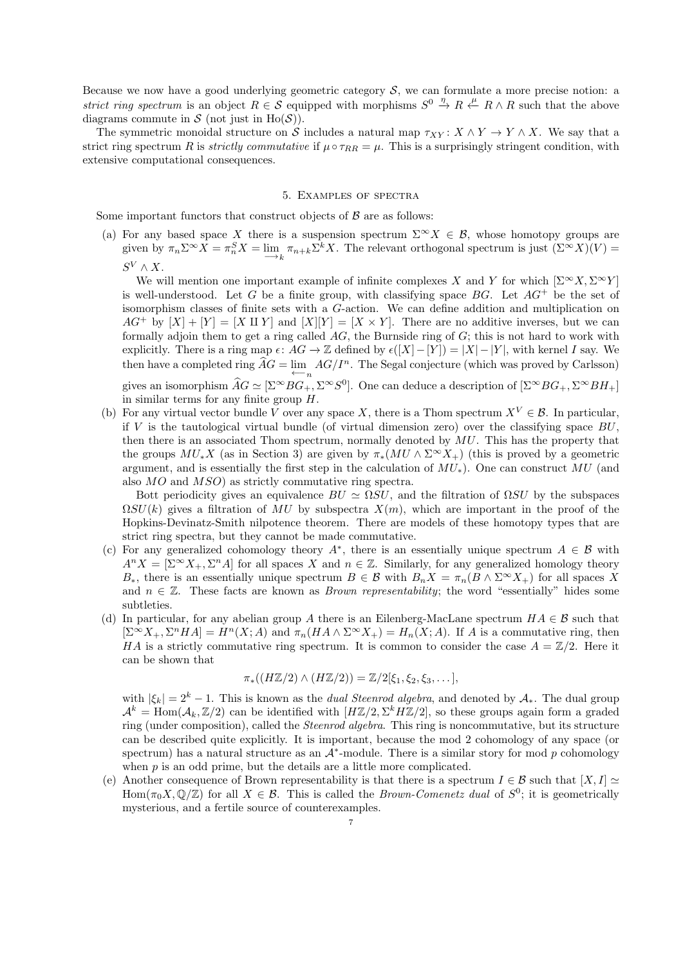Because we now have a good underlying geometric category  $S$ , we can formulate a more precise notion: a strict ring spectrum is an object  $R \in \mathcal{S}$  equipped with morphisms  $S^0 \stackrel{\eta}{\to} R \stackrel{\mu}{\leftarrow} R \wedge R$  such that the above diagrams commute in  $S$  (not just in Ho( $S$ )).

The symmetric monoidal structure on S includes a natural map  $\tau_{XY}: X \wedge Y \to Y \wedge X$ . We say that a strict ring spectrum R is *strictly commutative* if  $\mu \circ \tau_{RR} = \mu$ . This is a surprisingly stringent condition, with extensive computational consequences.

## 5. Examples of spectra

Some important functors that construct objects of  $\beta$  are as follows:

(a) For any based space X there is a suspension spectrum  $\Sigma^{\infty}X \in \mathcal{B}$ , whose homotopy groups are given by  $\pi_n \Sigma^{\infty} X = \pi_n^S X = \lim_{k \to \infty} \pi_{n+k} \Sigma^k X$ . The relevant orthogonal spectrum is just  $(\Sigma^{\infty} X)(V) =$  $S^V \wedge X$ .

We will mention one important example of infinite complexes X and Y for which  $[\Sigma^{\infty} X, \Sigma^{\infty} Y]$ is well-understood. Let G be a finite group, with classifying space  $BG$ . Let  $AG^+$  be the set of isomorphism classes of finite sets with a G-action. We can define addition and multiplication on  $AG^+$  by  $[X] + [Y] = [X \amalg Y]$  and  $[X][Y] = [X \times Y]$ . There are no additive inverses, but we can formally adjoin them to get a ring called  $AG$ , the Burnside ring of  $G$ ; this is not hard to work with explicitly. There is a ring map  $\epsilon: AG \to \mathbb{Z}$  defined by  $\epsilon([X]-[Y]) = |X|-|Y|$ , with kernel I say. We then have a completed ring  $\widehat{A}G = \lim_{n \to \infty} AG/I^n$ . The Segal conjecture (which was proved by Carlsson) gives an isomorphism  $\widehat{A}G \simeq [\Sigma^{\infty}BG_+, \Sigma^{\infty}S^0]$ . One can deduce a description of  $[\Sigma^{\infty}BG_+, \Sigma^{\infty}BH_+]$ in similar terms for any finite group H.

(b) For any virtual vector bundle V over any space X, there is a Thom spectrum  $X^V \in \mathcal{B}$ . In particular, if V is the tautological virtual bundle (of virtual dimension zero) over the classifying space  $BU$ , then there is an associated Thom spectrum, normally denoted by  $MU$ . This has the property that the groups  $MU_*X$  (as in Section 3) are given by  $\pi_*(MU \wedge \Sigma^{\infty} X_+)$  (this is proved by a geometric argument, and is essentially the first step in the calculation of  $MU_*$ ). One can construct MU (and also MO and MSO) as strictly commutative ring spectra.

Bott periodicity gives an equivalence  $BU \simeq \Omega SU$ , and the filtration of  $\Omega SU$  by the subspaces  $\Omega SU(k)$  gives a filtration of MU by subspectra  $X(m)$ , which are important in the proof of the Hopkins-Devinatz-Smith nilpotence theorem. There are models of these homotopy types that are strict ring spectra, but they cannot be made commutative.

- (c) For any generalized cohomology theory  $A^*$ , there is an essentially unique spectrum  $A \in \mathcal{B}$  with  $A^n X = [\Sigma^\infty X_+, \Sigma^n A]$  for all spaces X and  $n \in \mathbb{Z}$ . Similarly, for any generalized homology theory  $B_*$ , there is an essentially unique spectrum  $B \in \mathcal{B}$  with  $B_n X = \pi_n(B \wedge \Sigma^\infty X_+)$  for all spaces X and  $n \in \mathbb{Z}$ . These facts are known as *Brown representability*; the word "essentially" hides some subtleties.
- (d) In particular, for any abelian group A there is an Eilenberg-MacLane spectrum  $HA \in \mathcal{B}$  such that  $[\Sigma^{\infty} X_+, \Sigma^n H A] = H^n(X; A)$  and  $\pi_n(H A \wedge \Sigma^{\infty} X_+) = H_n(X; A)$ . If A is a commutative ring, then HA is a strictly commutative ring spectrum. It is common to consider the case  $A = \mathbb{Z}/2$ . Here it can be shown that

$$
\pi_*((H\mathbb{Z}/2)\wedge(H\mathbb{Z}/2))=\mathbb{Z}/2[\xi_1,\xi_2,\xi_3,\dots],
$$

with  $|\xi_k| = 2^k - 1$ . This is known as the *dual Steenrod algebra*, and denoted by  $A_*$ . The dual group  $\mathcal{A}^k = \text{Hom}(\mathcal{A}_k, \mathbb{Z}/2)$  can be identified with  $[H\mathbb{Z}/2, \Sigma^k H\mathbb{Z}/2]$ , so these groups again form a graded ring (under composition), called the Steenrod algebra. This ring is noncommutative, but its structure can be described quite explicitly. It is important, because the mod 2 cohomology of any space (or spectrum) has a natural structure as an  $\mathcal{A}^*$ -module. There is a similar story for mod p cohomology when  $p$  is an odd prime, but the details are a little more complicated.

(e) Another consequence of Brown representability is that there is a spectrum  $I \in \mathcal{B}$  such that  $[X, I] \simeq$  $\text{Hom}(\pi_0 X, \mathbb{Q}/\mathbb{Z})$  for all  $X \in \mathcal{B}$ . This is called the *Brown-Comenetz dual* of  $S^0$ ; it is geometrically mysterious, and a fertile source of counterexamples.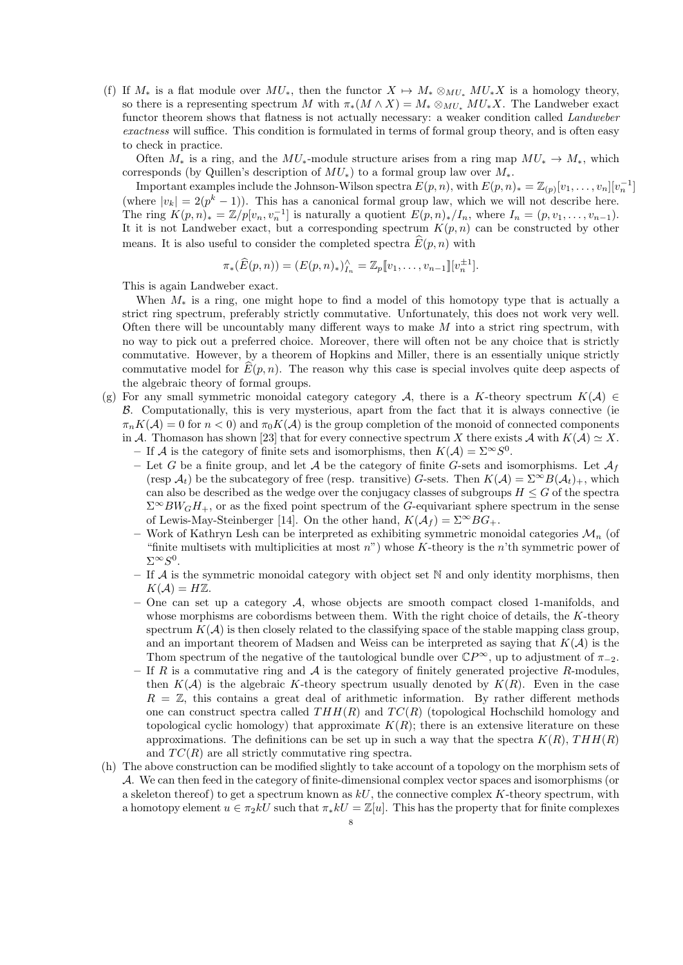(f) If  $M_*$  is a flat module over  $MU_*$ , then the functor  $X \mapsto M_* \otimes_{MU_*} MU_*X$  is a homology theory, so there is a representing spectrum M with  $\pi_*(M \wedge X) = M_* \otimes_{MU_*} MU_*X$ . The Landweber exact functor theorem shows that flatness is not actually necessary: a weaker condition called Landweber exactness will suffice. This condition is formulated in terms of formal group theory, and is often easy to check in practice.

Often  $M_*$  is a ring, and the  $MU_*$ -module structure arises from a ring map  $MU_* \to M_*$ , which corresponds (by Quillen's description of  $MU_*$ ) to a formal group law over  $M_*$ .

Important examples include the Johnson-Wilson spectra  $E(p, n)$ , with  $E(p, n)_* = \mathbb{Z}_{(p)}[v_1, \ldots, v_n][v_n^{-1}]$ (where  $|v_k| = 2(p^k - 1)$ ). This has a canonical formal group law, which we will not describe here. The ring  $K(p,n)_* = \mathbb{Z}/p[v_n, v_n^{-1}]$  is naturally a quotient  $E(p,n)_*/I_n$ , where  $I_n = (p, v_1, \ldots, v_{n-1})$ . It it is not Landweber exact, but a corresponding spectrum  $K(p, n)$  can be constructed by other means. It is also useful to consider the completed spectra  $\widehat{E}(p, n)$  with

$$
\pi_* (\widehat{E}(p,n)) = (E(p,n)_*)_{I_n}^{\wedge} = \mathbb{Z}_p [v_1,\ldots,v_{n-1}][v_n^{\pm 1}].
$$

This is again Landweber exact.

When  $M_*$  is a ring, one might hope to find a model of this homotopy type that is actually a strict ring spectrum, preferably strictly commutative. Unfortunately, this does not work very well. Often there will be uncountably many different ways to make  $M$  into a strict ring spectrum, with no way to pick out a preferred choice. Moreover, there will often not be any choice that is strictly commutative. However, by a theorem of Hopkins and Miller, there is an essentially unique strictly commutative model for  $\widehat{E}(p, n)$ . The reason why this case is special involves quite deep aspects of the algebraic theory of formal groups.

- (g) For any small symmetric monoidal category category A, there is a K-theory spectrum  $K(\mathcal{A}) \in$ B. Computationally, this is very mysterious, apart from the fact that it is always connective (ie  $\pi_n K(\mathcal{A}) = 0$  for  $n < 0$  and  $\pi_0 K(\mathcal{A})$  is the group completion of the monoid of connected components in A. Thomason has shown [23] that for every connective spectrum X there exists A with  $K(\mathcal{A}) \simeq X$ .
	- If A is the category of finite sets and isomorphisms, then  $K(\mathcal{A}) = \Sigma^{\infty} S^{0}$ .
	- Let G be a finite group, and let A be the category of finite G-sets and isomorphisms. Let  $\mathcal{A}_f$ (resp  $\mathcal{A}_t$ ) be the subcategory of free (resp. transitive) G-sets. Then  $K(\mathcal{A}) = \Sigma^{\infty} B(\mathcal{A}_t)_+$ , which can also be described as the wedge over the conjugacy classes of subgroups  $H \leq G$  of the spectra  $\Sigma^{\infty}BW_GH_+$ , or as the fixed point spectrum of the G-equivariant sphere spectrum in the sense of Lewis-May-Steinberger [14]. On the other hand,  $K(\mathcal{A}_f) = \Sigma^{\infty} BG_+$ .
	- Work of Kathryn Lesh can be interpreted as exhibiting symmetric monoidal categories  $\mathcal{M}_n$  (of "finite multisets with multiplicities at most  $n$ ") whose K-theory is the n'th symmetric power of  $\Sigma^\infty S^0$ .
	- If A is the symmetric monoidal category with object set  $\mathbb N$  and only identity morphisms, then  $K(A) = H\mathbb{Z}$ .
	- One can set up a category  $A$ , whose objects are smooth compact closed 1-manifolds, and whose morphisms are cobordisms between them. With the right choice of details, the  $K$ -theory spectrum  $K(\mathcal{A})$  is then closely related to the classifying space of the stable mapping class group, and an important theorem of Madsen and Weiss can be interpreted as saying that  $K(\mathcal{A})$  is the Thom spectrum of the negative of the tautological bundle over  $\mathbb{C}P^{\infty}$ , up to adjustment of  $\pi_{-2}$ .
	- If R is a commutative ring and  $\mathcal A$  is the category of finitely generated projective R-modules, then  $K(\mathcal{A})$  is the algebraic K-theory spectrum usually denoted by  $K(R)$ . Even in the case  $R = \mathbb{Z}$ , this contains a great deal of arithmetic information. By rather different methods one can construct spectra called  $THH(R)$  and  $TC(R)$  (topological Hochschild homology and topological cyclic homology) that approximate  $K(R)$ ; there is an extensive literature on these approximations. The definitions can be set up in such a way that the spectra  $K(R)$ ,  $THH(R)$ and  $TC(R)$  are all strictly commutative ring spectra.
- (h) The above construction can be modified slightly to take account of a topology on the morphism sets of A. We can then feed in the category of finite-dimensional complex vector spaces and isomorphisms (or a skeleton thereof) to get a spectrum known as  $kU$ , the connective complex K-theory spectrum, with a homotopy element  $u \in \pi_2 kU$  such that  $\pi_* kU = \mathbb{Z}[u]$ . This has the property that for finite complexes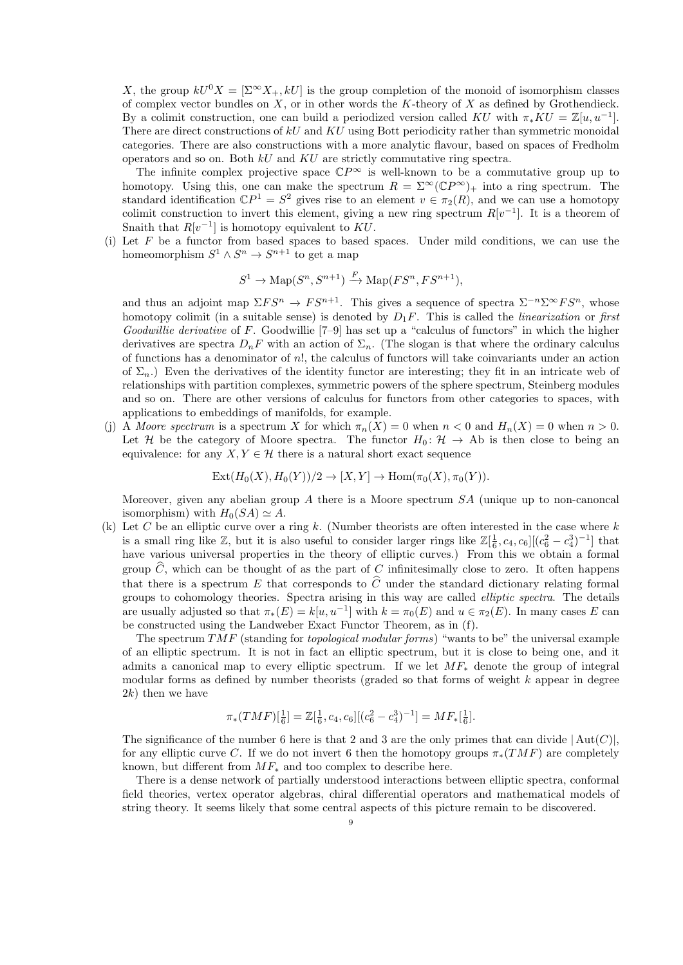X, the group  $kU^0X = \left[\sum_{k=1}^{\infty} X_{+k}kU\right]$  is the group completion of the monoid of isomorphism classes of complex vector bundles on  $X$ , or in other words the K-theory of X as defined by Grothendieck. By a colimit construction, one can build a periodized version called KU with  $\pi_* KU = \mathbb{Z}[u, u^{-1}]$ . There are direct constructions of  $kU$  and  $KU$  using Bott periodicity rather than symmetric monoidal categories. There are also constructions with a more analytic flavour, based on spaces of Fredholm operators and so on. Both kU and KU are strictly commutative ring spectra.

The infinite complex projective space  $\mathbb{C}P^{\infty}$  is well-known to be a commutative group up to homotopy. Using this, one can make the spectrum  $R = \Sigma^{\infty}(\mathbb{C}P^{\infty})_+$  into a ring spectrum. The standard identification  $\mathbb{C}P^1 = S^2$  gives rise to an element  $v \in \pi_2(R)$ , and we can use a homotopy colimit construction to invert this element, giving a new ring spectrum  $R[v^{-1}]$ . It is a theorem of Snaith that  $R[v^{-1}]$  is homotopy equivalent to KU.

Let  $F$  be a functor from based spaces to based spaces. Under mild conditions, we can use the homeomorphism  $S^1 \wedge S^n \to S^{n+1}$  to get a map

$$
S^1 \to \mathrm{Map}(S^n, S^{n+1}) \xrightarrow{F} \mathrm{Map}(FS^n, FS^{n+1}),
$$

and thus an adjoint map  $\Sigma FS^n \to FS^{n+1}$ . This gives a sequence of spectra  $\Sigma^{-n}\Sigma^{\infty} FS^n$ , whose homotopy colimit (in a suitable sense) is denoted by  $D_1F$ . This is called the *linearization* or first Goodwillie derivative of F. Goodwillie  $[7-9]$  has set up a "calculus of functors" in which the higher derivatives are spectra  $D_nF$  with an action of  $\Sigma_n$ . (The slogan is that where the ordinary calculus of functions has a denominator of n!, the calculus of functors will take coinvariants under an action of  $\Sigma_n$ .) Even the derivatives of the identity functor are interesting; they fit in an intricate web of relationships with partition complexes, symmetric powers of the sphere spectrum, Steinberg modules and so on. There are other versions of calculus for functors from other categories to spaces, with applications to embeddings of manifolds, for example.

(j) A Moore spectrum is a spectrum X for which  $\pi_n(X) = 0$  when  $n < 0$  and  $H_n(X) = 0$  when  $n > 0$ . Let H be the category of Moore spectra. The functor  $H_0: \mathcal{H} \to Ab$  is then close to being an equivalence: for any  $X, Y \in \mathcal{H}$  there is a natural short exact sequence

$$
Ext(H_0(X), H_0(Y))/2 \to [X, Y] \to Hom(\pi_0(X), \pi_0(Y)).
$$

Moreover, given any abelian group  $A$  there is a Moore spectrum  $SA$  (unique up to non-canoncal isomorphism) with  $H_0(SA) \simeq A$ .

(k) Let C be an elliptic curve over a ring k. (Number theorists are often interested in the case where  $k$ is a small ring like  $\mathbb{Z}$ , but it is also useful to consider larger rings like  $\mathbb{Z}[\frac{1}{6}, c_4, c_6] [(c_6^2 - c_4^3)^{-1}]$  that have various universal properties in the theory of elliptic curves.) From this we obtain a formal group  $\hat{C}$ , which can be thought of as the part of C infinitesimally close to zero. It often happens that there is a spectrum E that corresponds to  $\hat{C}$  under the standard dictionary relating formal groups to cohomology theories. Spectra arising in this way are called elliptic spectra. The details are usually adjusted so that  $\pi_*(E) = k[u, u^{-1}]$  with  $k = \pi_0(E)$  and  $u \in \pi_2(E)$ . In many cases E can be constructed using the Landweber Exact Functor Theorem, as in (f).

The spectrum  $TMF$  (standing for *topological modular forms*) "wants to be" the universal example of an elliptic spectrum. It is not in fact an elliptic spectrum, but it is close to being one, and it admits a canonical map to every elliptic spectrum. If we let  $MF_*$  denote the group of integral modular forms as defined by number theorists (graded so that forms of weight  $k$  appear in degree  $2k$ ) then we have

$$
\pi_*(TMF)[\tfrac{1}{6}] = \mathbb{Z}[\tfrac{1}{6}, c_4, c_6] [(c_6^2 - c_4^3)^{-1}] = MF_*[\tfrac{1}{6}].
$$

The significance of the number 6 here is that 2 and 3 are the only primes that can divide  $|\text{Aut}(C)|$ , for any elliptic curve C. If we do not invert 6 then the homotopy groups  $\pi_*(TMF)$  are completely known, but different from  $MF_*$  and too complex to describe here.

There is a dense network of partially understood interactions between elliptic spectra, conformal field theories, vertex operator algebras, chiral differential operators and mathematical models of string theory. It seems likely that some central aspects of this picture remain to be discovered.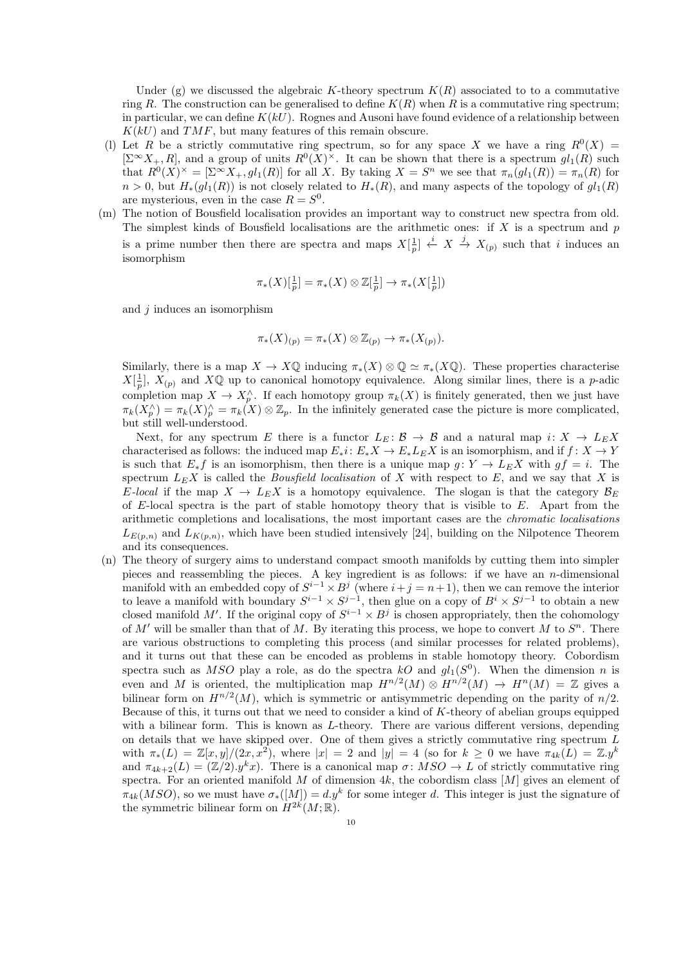Under (g) we discussed the algebraic K-theory spectrum  $K(R)$  associated to to a commutative ring R. The construction can be generalised to define  $K(R)$  when R is a commutative ring spectrum; in particular, we can define  $K(kU)$ . Rognes and Ausoni have found evidence of a relationship between  $K(kU)$  and  $TMF$ , but many features of this remain obscure.

- (1) Let R be a strictly commutative ring spectrum, so for any space X we have a ring  $R^0(X)$  =  $[\Sigma^{\infty} X_+, R]$ , and a group of units  $R^0(X)^{\times}$ . It can be shown that there is a spectrum  $gl_1(R)$  such that  $R^0(X)^\times = [\Sigma^\infty X_+, gl_1(R)]$  for all X. By taking  $X = S^n$  we see that  $\pi_n(gl_1(R)) = \pi_n(R)$  for  $n > 0$ , but  $H_*(ql_1(R))$  is not closely related to  $H_*(R)$ , and many aspects of the topology of  $gl_1(R)$ are mysterious, even in the case  $R = S^0$ .
- (m) The notion of Bousfield localisation provides an important way to construct new spectra from old. The simplest kinds of Bousfield localisations are the arithmetic ones: if  $X$  is a spectrum and  $p$ is a prime number then there are spectra and maps  $X[\frac{1}{p}] \stackrel{i}{\leftarrow} X \stackrel{j}{\rightarrow} X_{(p)}$  such that i induces an isomorphism

$$
\pi_*(X)[\tfrac{1}{p}] = \pi_*(X) \otimes \mathbb{Z}[\tfrac{1}{p}] \to \pi_*(X[\tfrac{1}{p}])
$$

and  $i$  induces an isomorphism

$$
\pi_*(X)_{(p)} = \pi_*(X) \otimes \mathbb{Z}_{(p)} \to \pi_*(X_{(p)}).
$$

Similarly, there is a map  $X \to X\mathbb{Q}$  inducing  $\pi_*(X) \otimes \mathbb{Q} \simeq \pi_*(X\mathbb{Q})$ . These properties characterise  $X[\frac{1}{p}], X(p)$  and  $X\mathbb{Q}$  up to canonical homotopy equivalence. Along similar lines, there is a p-adic completion map  $X \to X_p^{\wedge}$ . If each homotopy group  $\pi_k(X)$  is finitely generated, then we just have  $\pi_k(X_p^{\wedge}) = \pi_k(X_p^{\wedge}) = \pi_k(X) \otimes \mathbb{Z}_p$ . In the infinitely generated case the picture is more complicated, but still well-understood.

Next, for any spectrum E there is a functor  $L_E: \mathcal{B} \to \mathcal{B}$  and a natural map  $i: X \to L_E X$ characterised as follows: the induced map  $E_*i: E_*X \to E_*L_EX$  is an isomorphism, and if  $f: X \to Y$ is such that  $E_*f$  is an isomorphism, then there is a unique map  $g: Y \to L_E X$  with  $gf = i$ . The spectrum  $L_E X$  is called the *Bousfield localisation* of X with respect to E, and we say that X is E-local if the map  $X \to L_E X$  is a homotopy equivalence. The slogan is that the category  $\mathcal{B}_E$ of E-local spectra is the part of stable homotopy theory that is visible to E. Apart from the arithmetic completions and localisations, the most important cases are the chromatic localisations  $L_{E(p,n)}$  and  $L_{K(p,n)}$ , which have been studied intensively [24], building on the Nilpotence Theorem and its consequences.

(n) The theory of surgery aims to understand compact smooth manifolds by cutting them into simpler pieces and reassembling the pieces. A key ingredient is as follows: if we have an *n*-dimensional manifold with an embedded copy of  $S^{i-1} \times B^j$  (where  $i+j = n+1$ ), then we can remove the interior to leave a manifold with boundary  $S^{i-1} \times S^{j-1}$ , then glue on a copy of  $B^i \times S^{j-1}$  to obtain a new closed manifold M'. If the original copy of  $S^{i-1} \times B^j$  is chosen appropriately, then the cohomology of  $M'$  will be smaller than that of M. By iterating this process, we hope to convert M to  $S<sup>n</sup>$ . There are various obstructions to completing this process (and similar processes for related problems), and it turns out that these can be encoded as problems in stable homotopy theory. Cobordism spectra such as MSO play a role, as do the spectra kO and  $gl_1(S^0)$ . When the dimension n is even and M is oriented, the multiplication map  $H^{n/2}(M) \otimes H^{n/2}(M) \to H^n(M) = \mathbb{Z}$  gives a bilinear form on  $H^{n/2}(M)$ , which is symmetric or antisymmetric depending on the parity of  $n/2$ . Because of this, it turns out that we need to consider a kind of K-theory of abelian groups equipped with a bilinear form. This is known as  $L$ -theory. There are various different versions, depending on details that we have skipped over. One of them gives a strictly commutative ring spectrum L with  $\pi_*(L) = \mathbb{Z}[x, y]/(2x, x^2)$ , where  $|x| = 2$  and  $|y| = 4$  (so for  $k \geq 0$  we have  $\pi_{4k}(L) = \mathbb{Z}.y^k$ and  $\pi_{4k+2}(L) = (\mathbb{Z}/2) \cdot y^k x$ . There is a canonical map  $\sigma \colon MSO \to L$  of strictly commutative ring spectra. For an oriented manifold M of dimension 4k, the cobordism class  $[M]$  gives an element of  $\pi_{4k}(MSO)$ , so we must have  $\sigma_{*}([M]) = d.y^k$  for some integer d. This integer is just the signature of the symmetric bilinear form on  $H^{2k}(M;\mathbb{R})$ .